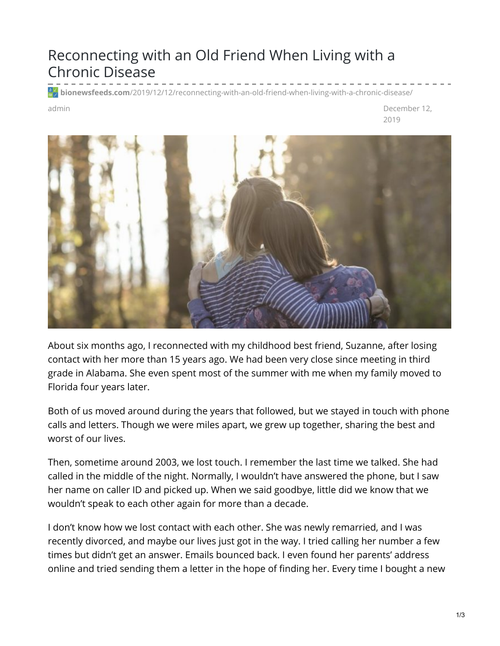## Reconnecting with an Old Friend When Living with a Chronic Disease

**bionewsfeeds.com**[/2019/12/12/reconnecting-with-an-old-friend-when-living-with-a-chronic-disease/](https://bionewsfeeds.com/2019/12/12/reconnecting-with-an-old-friend-when-living-with-a-chronic-disease/)

admin December 12, 2019



About six months ago, I reconnected with my childhood best friend, Suzanne, after losing contact with her more than 15 years ago. We had been very close since meeting in third grade in Alabama. She even spent most of the summer with me when my family moved to Florida four years later.

Both of us moved around during the years that followed, but we stayed in touch with phone calls and letters. Though we were miles apart, we grew up together, sharing the best and worst of our lives.

Then, sometime around 2003, we lost touch. I remember the last time we talked. She had called in the middle of the night. Normally, I wouldn't have answered the phone, but I saw her name on caller ID and picked up. When we said goodbye, little did we know that we wouldn't speak to each other again for more than a decade.

I don't know how we lost contact with each other. She was newly remarried, and I was recently divorced, and maybe our lives just got in the way. I tried calling her number a few times but didn't get an answer. Emails bounced back. I even found her parents' address online and tried sending them a letter in the hope of finding her. Every time I bought a new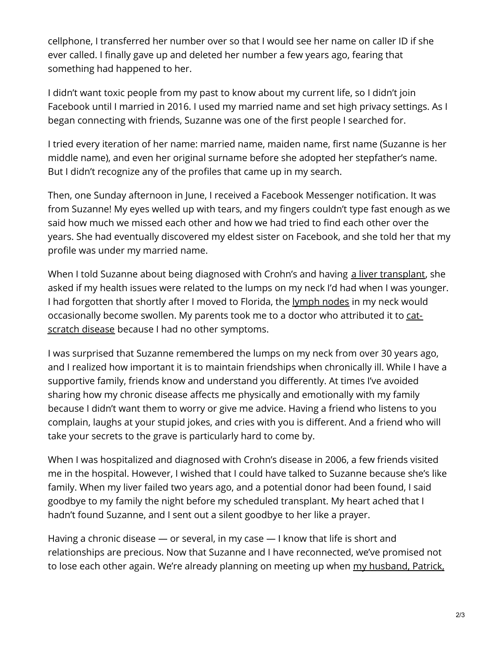cellphone, I transferred her number over so that I would see her name on caller ID if she ever called. I finally gave up and deleted her number a few years ago, fearing that something had happened to her.

I didn't want toxic people from my past to know about my current life, so I didn't join Facebook until I married in 2016. I used my married name and set high privacy settings. As I began connecting with friends, Suzanne was one of the first people I searched for.

I tried every iteration of her name: married name, maiden name, first name (Suzanne is her middle name), and even her original surname before she adopted her stepfather's name. But I didn't recognize any of the profiles that came up in my search.

Then, one Sunday afternoon in June, I received a Facebook Messenger notification. It was from Suzanne! My eyes welled up with tears, and my fingers couldn't type fast enough as we said how much we missed each other and how we had tried to find each other over the years. She had eventually discovered my eldest sister on Facebook, and she told her that my profile was under my married name.

When I told Suzanne about being diagnosed with Crohn's and having a liver [transplant](https://ibdnewstoday.com/2019/09/12/transplant-liver-donor/), she asked if my health issues were related to the lumps on my neck I'd had when I was younger. I had forgotten that shortly after I moved to Florida, the [lymph](https://www.mayoclinic.org/diseases-conditions/swollen-lymph-nodes/symptoms-causes/syc-20353902) nodes in my neck would [occasionally](https://www.cdc.gov/healthypets/diseases/cat-scratch.html) become swollen. My parents took me to a doctor who attributed it to catscratch disease because I had no other symptoms.

I was surprised that Suzanne remembered the lumps on my neck from over 30 years ago, and I realized how important it is to maintain friendships when chronically ill. While I have a supportive family, friends know and understand you differently. At times I've avoided sharing how my chronic disease affects me physically and emotionally with my family because I didn't want them to worry or give me advice. Having a friend who listens to you complain, laughs at your stupid jokes, and cries with you is different. And a friend who will take your secrets to the grave is particularly hard to come by.

When I was hospitalized and diagnosed with Crohn's disease in 2006, a few friends visited me in the hospital. However, I wished that I could have talked to Suzanne because she's like family. When my liver failed two years ago, and a potential donor had been found, I said goodbye to my family the night before my scheduled transplant. My heart ached that I hadn't found Suzanne, and I sent out a silent goodbye to her like a prayer.

Having a chronic disease — or several, in my case — I know that life is short and relationships are precious. Now that Suzanne and I have reconnected, we've promised not to lose each other again. We're already planning on meeting up when my [husband,](https://ibdnewstoday.com/2019/06/06/caregiving-sickness-health/) Patrick,